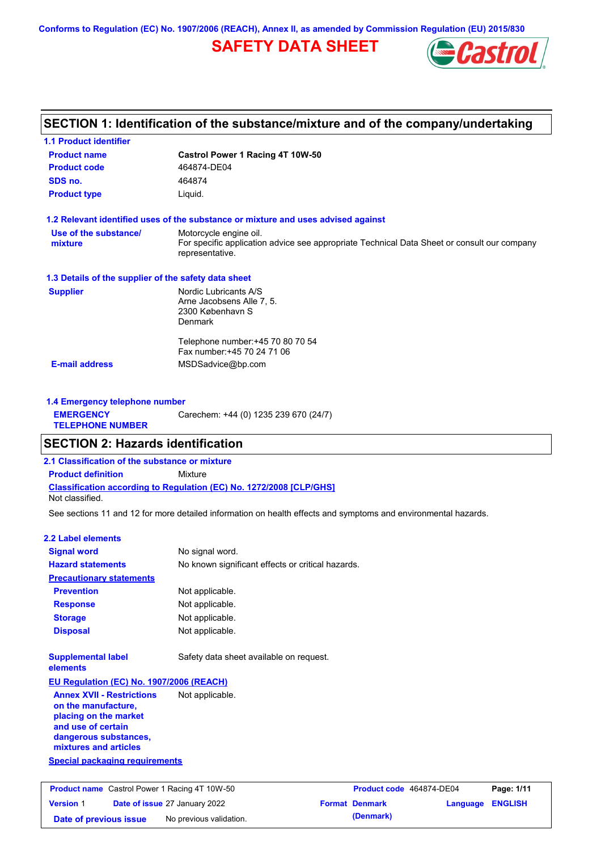**Conforms to Regulation (EC) No. 1907/2006 (REACH), Annex II, as amended by Commission Regulation (EU) 2015/830**

# **SAFETY DATA SHEET**



# **SECTION 1: Identification of the substance/mixture and of the company/undertaking**

| Castrol Power 1 Racing 4T 10W-50                                                                               |  |  |
|----------------------------------------------------------------------------------------------------------------|--|--|
| 464874-DE04                                                                                                    |  |  |
| 464874                                                                                                         |  |  |
| Liquid.                                                                                                        |  |  |
| 1.2 Relevant identified uses of the substance or mixture and uses advised against                              |  |  |
| Motorcycle engine oil.                                                                                         |  |  |
| For specific application advice see appropriate Technical Data Sheet or consult our company<br>representative. |  |  |
| 1.3 Details of the supplier of the safety data sheet                                                           |  |  |
| Nordic Lubricants A/S                                                                                          |  |  |
| Arne Jacobsens Alle 7, 5.                                                                                      |  |  |
| 2300 København S<br>Denmark                                                                                    |  |  |
|                                                                                                                |  |  |
| Telephone number: +45 70 80 70 54                                                                              |  |  |
| Fax number: +45 70 24 71 06                                                                                    |  |  |
| MSDSadvice@bp.com                                                                                              |  |  |
|                                                                                                                |  |  |

| <b>1.4 Emergency telephone number</b>       |                                       |
|---------------------------------------------|---------------------------------------|
| <b>EMERGENCY</b><br><b>TELEPHONE NUMBER</b> | Carechem: +44 (0) 1235 239 670 (24/7) |

# **SECTION 2: Hazards identification**

**2.1 Classification of the substance or mixture**

**Date of issue** 27 January 2022

**Date of previous issue** No previous validation.

**Classification according to Regulation (EC) No. 1272/2008 [CLP/GHS] Product definition** Mixture

Not classified.

See sections 11 and 12 for more detailed information on health effects and symptoms and environmental hazards.

### **2.2 Label elements**

**Version** 1

| <b>Signal word</b>                                                                                                                                       | No signal word.                                   |                          |            |
|----------------------------------------------------------------------------------------------------------------------------------------------------------|---------------------------------------------------|--------------------------|------------|
| <b>Hazard statements</b>                                                                                                                                 | No known significant effects or critical hazards. |                          |            |
| <b>Precautionary statements</b>                                                                                                                          |                                                   |                          |            |
| <b>Prevention</b>                                                                                                                                        | Not applicable.                                   |                          |            |
| <b>Response</b>                                                                                                                                          | Not applicable.                                   |                          |            |
| <b>Storage</b>                                                                                                                                           | Not applicable.                                   |                          |            |
| <b>Disposal</b>                                                                                                                                          | Not applicable.                                   |                          |            |
| <b>Supplemental label</b><br>elements                                                                                                                    | Safety data sheet available on request.           |                          |            |
| EU Regulation (EC) No. 1907/2006 (REACH)                                                                                                                 |                                                   |                          |            |
| <b>Annex XVII - Restrictions</b><br>on the manufacture.<br>placing on the market<br>and use of certain<br>dangerous substances,<br>mixtures and articles | Not applicable.                                   |                          |            |
| <b>Special packaging requirements</b>                                                                                                                    |                                                   |                          |            |
| <b>Product name</b> Castrol Power 1 Racing 4T 10W-50                                                                                                     |                                                   | Product code 464874-DE04 | Page: 1/11 |

| Product code 464874-DE04 |                  | Page: 1/11 |
|--------------------------|------------------|------------|
| <b>Format Denmark</b>    | Language ENGLISH |            |
| (Denmark)                |                  |            |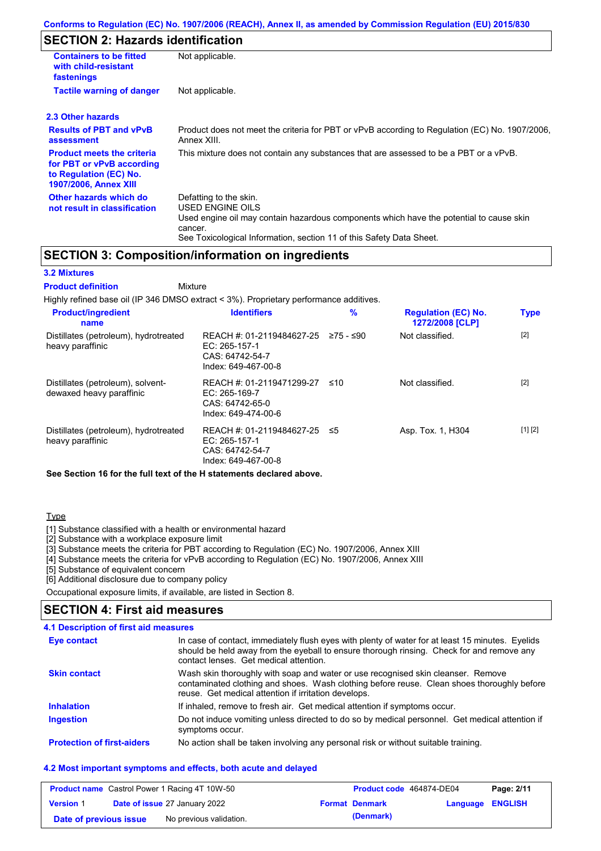# **SECTION 2: Hazards identification**

| <b>Containers to be fitted</b><br>with child-resistant<br>fastenings                                                     | Not applicable.                                                                                                                                                                                                          |
|--------------------------------------------------------------------------------------------------------------------------|--------------------------------------------------------------------------------------------------------------------------------------------------------------------------------------------------------------------------|
| <b>Tactile warning of danger</b>                                                                                         | Not applicable.                                                                                                                                                                                                          |
| 2.3 Other hazards                                                                                                        |                                                                                                                                                                                                                          |
| <b>Results of PBT and vPvB</b><br>assessment                                                                             | Product does not meet the criteria for PBT or vPvB according to Regulation (EC) No. 1907/2006,<br>Annex XIII.                                                                                                            |
| <b>Product meets the criteria</b><br>for PBT or vPvB according<br>to Regulation (EC) No.<br><b>1907/2006, Annex XIII</b> | This mixture does not contain any substances that are assessed to be a PBT or a vPvB.                                                                                                                                    |
| Other hazards which do<br>not result in classification                                                                   | Defatting to the skin.<br>USED ENGINE OILS<br>Used engine oil may contain hazardous components which have the potential to cause skin<br>cancer.<br>See Toxicological Information, section 11 of this Safety Data Sheet. |

# **SECTION 3: Composition/information on ingredients**

### **3.2 Mixtures**

Mixture **Product definition**

| Highly refined base oil (IP 346 DMSO extract < 3%). Proprietary performance additives. |                                                                                      |           |                                               |             |
|----------------------------------------------------------------------------------------|--------------------------------------------------------------------------------------|-----------|-----------------------------------------------|-------------|
| <b>Product/ingredient</b><br>name                                                      | <b>Identifiers</b>                                                                   | $\%$      | <b>Regulation (EC) No.</b><br>1272/2008 [CLP] | <b>Type</b> |
| Distillates (petroleum), hydrotreated<br>heavy paraffinic                              | REACH #: 01-2119484627-25<br>EC: 265-157-1<br>CAS: 64742-54-7<br>Index: 649-467-00-8 | 275 - ≤90 | Not classified.                               | $[2]$       |
| Distillates (petroleum), solvent-<br>dewaxed heavy paraffinic                          | REACH #: 01-2119471299-27<br>EC: 265-169-7<br>CAS: 64742-65-0<br>Index: 649-474-00-6 | ≤10       | Not classified.                               | $[2]$       |
| Distillates (petroleum), hydrotreated<br>heavy paraffinic                              | REACH #: 01-2119484627-25<br>EC: 265-157-1<br>CAS: 64742-54-7<br>Index: 649-467-00-8 | ≤5        | Asp. Tox. 1, H304                             | [1] [2]     |

**See Section 16 for the full text of the H statements declared above.**

### **Type**

[1] Substance classified with a health or environmental hazard

[2] Substance with a workplace exposure limit

[3] Substance meets the criteria for PBT according to Regulation (EC) No. 1907/2006, Annex XIII

[4] Substance meets the criteria for vPvB according to Regulation (EC) No. 1907/2006, Annex XIII

[5] Substance of equivalent concern

[6] Additional disclosure due to company policy

Occupational exposure limits, if available, are listed in Section 8.

### **SECTION 4: First aid measures**

### **4.1 Description of first aid measures**

| Eye contact                       | In case of contact, immediately flush eyes with plenty of water for at least 15 minutes. Eyelids<br>should be held away from the eyeball to ensure thorough rinsing. Check for and remove any<br>contact lenses. Get medical attention. |
|-----------------------------------|-----------------------------------------------------------------------------------------------------------------------------------------------------------------------------------------------------------------------------------------|
| <b>Skin contact</b>               | Wash skin thoroughly with soap and water or use recognised skin cleanser. Remove<br>contaminated clothing and shoes. Wash clothing before reuse. Clean shoes thoroughly before<br>reuse. Get medical attention if irritation develops.  |
| <b>Inhalation</b>                 | If inhaled, remove to fresh air. Get medical attention if symptoms occur.                                                                                                                                                               |
| <b>Ingestion</b>                  | Do not induce vomiting unless directed to do so by medical personnel. Get medical attention if<br>symptoms occur.                                                                                                                       |
| <b>Protection of first-aiders</b> | No action shall be taken involving any personal risk or without suitable training.                                                                                                                                                      |

### **4.2 Most important symptoms and effects, both acute and delayed**

|                        | <b>Product name</b> Castrol Power 1 Racing 4T 10W-50 | Product code 464874-DE04 |                         | Page: 2/11 |
|------------------------|------------------------------------------------------|--------------------------|-------------------------|------------|
| <b>Version 1</b>       | <b>Date of issue 27 January 2022</b>                 | <b>Format Denmark</b>    | <b>Language ENGLISH</b> |            |
| Date of previous issue | No previous validation.                              | (Denmark)                |                         |            |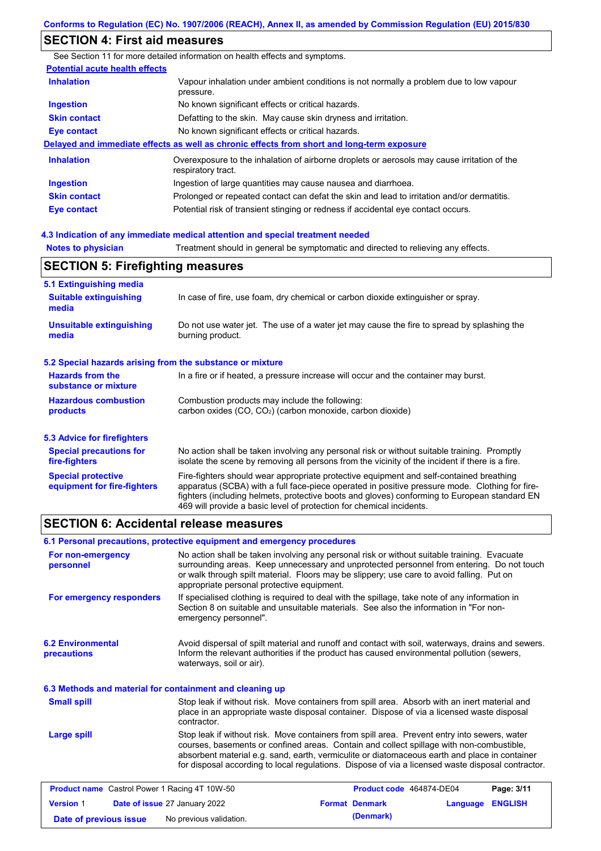# **SECTION 4: First aid measures**

**Notes to physician** Treatment should in general be symptomatic and directed to relieving any effects. **4.3 Indication of any immediate medical attention and special treatment needed** See Section 11 for more detailed information on health effects and symptoms. **Potential acute health effects Inhalation** Vapour inhalation under ambient conditions is not normally a problem due to low vapour pressure. **Ingestion** No known significant effects or critical hazards. **Skin contact** Defatting to the skin. May cause skin dryness and irritation. **Eye contact** No known significant effects or critical hazards. **Delayed and immediate effects as well as chronic effects from short and long-term exposure Inhalation Ingestion Skin contact Eye contact** Overexposure to the inhalation of airborne droplets or aerosols may cause irritation of the respiratory tract. Ingestion of large quantities may cause nausea and diarrhoea. Prolonged or repeated contact can defat the skin and lead to irritation and/or dermatitis. Potential risk of transient stinging or redness if accidental eye contact occurs. **SECTION F. Firefighting** 

| SECTION 5: Firefighting measures                          |                                                                                                                                                                                                                                                                                                                                                                   |  |  |
|-----------------------------------------------------------|-------------------------------------------------------------------------------------------------------------------------------------------------------------------------------------------------------------------------------------------------------------------------------------------------------------------------------------------------------------------|--|--|
| 5.1 Extinguishing media                                   |                                                                                                                                                                                                                                                                                                                                                                   |  |  |
| <b>Suitable extinguishing</b><br>media                    | In case of fire, use foam, dry chemical or carbon dioxide extinguisher or spray.                                                                                                                                                                                                                                                                                  |  |  |
| <b>Unsuitable extinguishing</b><br>media                  | Do not use water jet. The use of a water jet may cause the fire to spread by splashing the<br>burning product.                                                                                                                                                                                                                                                    |  |  |
| 5.2 Special hazards arising from the substance or mixture |                                                                                                                                                                                                                                                                                                                                                                   |  |  |
| <b>Hazards from the</b><br>substance or mixture           | In a fire or if heated, a pressure increase will occur and the container may burst.                                                                                                                                                                                                                                                                               |  |  |
| <b>Hazardous combustion</b>                               | Combustion products may include the following:                                                                                                                                                                                                                                                                                                                    |  |  |
| products                                                  | carbon oxides $(CO, CO2)$ (carbon monoxide, carbon dioxide)                                                                                                                                                                                                                                                                                                       |  |  |
| 5.3 Advice for firefighters                               |                                                                                                                                                                                                                                                                                                                                                                   |  |  |
| <b>Special precautions for</b><br>fire-fighters           | No action shall be taken involving any personal risk or without suitable training. Promptly<br>isolate the scene by removing all persons from the vicinity of the incident if there is a fire.                                                                                                                                                                    |  |  |
| <b>Special protective</b><br>equipment for fire-fighters  | Fire-fighters should wear appropriate protective equipment and self-contained breathing<br>apparatus (SCBA) with a full face-piece operated in positive pressure mode. Clothing for fire-<br>fighters (including helmets, protective boots and gloves) conforming to European standard EN<br>469 will provide a basic level of protection for chemical incidents. |  |  |

# **SECTION 6: Accidental release measures**

|                                                          | 6.1 Personal precautions, protective equipment and emergency procedures                                                                                                                                                                                                                                                                                                                        |
|----------------------------------------------------------|------------------------------------------------------------------------------------------------------------------------------------------------------------------------------------------------------------------------------------------------------------------------------------------------------------------------------------------------------------------------------------------------|
| For non-emergency<br>personnel                           | No action shall be taken involving any personal risk or without suitable training. Evacuate<br>surrounding areas. Keep unnecessary and unprotected personnel from entering. Do not touch<br>or walk through spilt material. Floors may be slippery; use care to avoid falling. Put on<br>appropriate personal protective equipment.                                                            |
| For emergency responders                                 | If specialised clothing is required to deal with the spillage, take note of any information in<br>Section 8 on suitable and unsuitable materials. See also the information in "For non-<br>emergency personnel".                                                                                                                                                                               |
| <b>6.2 Environmental</b><br>precautions                  | Avoid dispersal of spilt material and runoff and contact with soil, waterways, drains and sewers.<br>Inform the relevant authorities if the product has caused environmental pollution (sewers,<br>waterways, soil or air).                                                                                                                                                                    |
| 6.3 Methods and material for containment and cleaning up |                                                                                                                                                                                                                                                                                                                                                                                                |
| <b>Small spill</b>                                       | Stop leak if without risk. Move containers from spill area. Absorb with an inert material and<br>place in an appropriate waste disposal container. Dispose of via a licensed waste disposal<br>contractor.                                                                                                                                                                                     |
| Large spill                                              | Stop leak if without risk. Move containers from spill area. Prevent entry into sewers, water<br>courses, basements or confined areas. Contain and collect spillage with non-combustible,<br>absorbent material e.g. sand, earth, vermiculite or diatomaceous earth and place in container<br>for disposal according to local regulations. Dispose of via a licensed waste disposal contractor. |
| <b>Product name</b> Castrol Power 1 Racing 4T 10W-50     | Product code 464874-DE04<br>Page: 3/11                                                                                                                                                                                                                                                                                                                                                         |

| <b>Version 1</b>       | <b>Date of issue 27 January 2022</b> | <b>Format Denmark</b> | <b>Language ENGLISH</b> |  |
|------------------------|--------------------------------------|-----------------------|-------------------------|--|
| Date of previous issue | No previous validation.              | (Denmark)             |                         |  |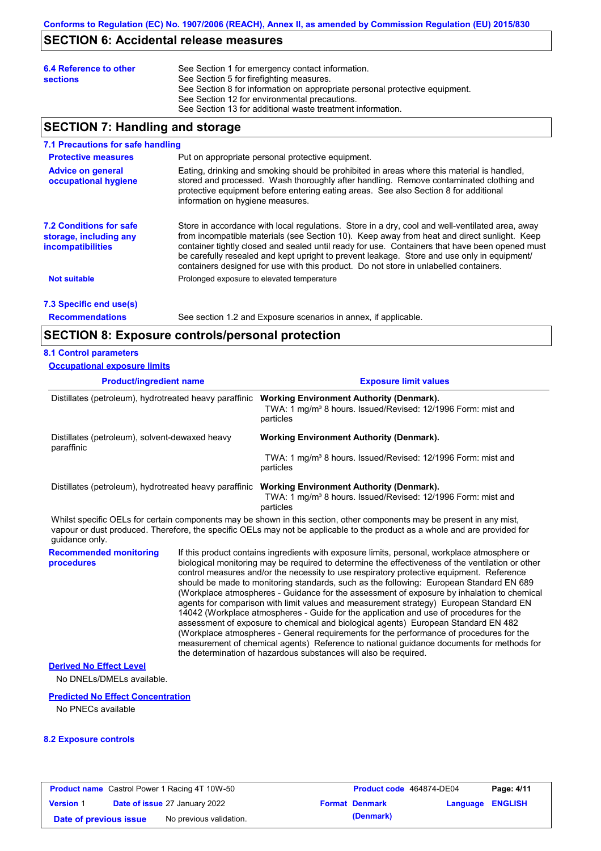### **SECTION 6: Accidental release measures**

| 6.4 Reference to other<br><b>sections</b> | See Section 1 for emergency contact information.<br>See Section 5 for firefighting measures.<br>See Section 8 for information on appropriate personal protective equipment.<br>See Section 12 for environmental precautions. |
|-------------------------------------------|------------------------------------------------------------------------------------------------------------------------------------------------------------------------------------------------------------------------------|
|                                           | See Section 13 for additional waste treatment information.                                                                                                                                                                   |

# **SECTION 7: Handling and storage**

#### **7.1 Precautions for safe handling**

| <b>Protective measures</b>                                                           | Put on appropriate personal protective equipment.                                                                                                                                                                                                                                                                                                                                                                                                                                        |
|--------------------------------------------------------------------------------------|------------------------------------------------------------------------------------------------------------------------------------------------------------------------------------------------------------------------------------------------------------------------------------------------------------------------------------------------------------------------------------------------------------------------------------------------------------------------------------------|
| <b>Advice on general</b><br>occupational hygiene                                     | Eating, drinking and smoking should be prohibited in areas where this material is handled,<br>stored and processed. Wash thoroughly after handling. Remove contaminated clothing and<br>protective equipment before entering eating areas. See also Section 8 for additional<br>information on hygiene measures.                                                                                                                                                                         |
| <b>7.2 Conditions for safe</b><br>storage, including any<br><b>incompatibilities</b> | Store in accordance with local regulations. Store in a dry, cool and well-ventilated area, away<br>from incompatible materials (see Section 10). Keep away from heat and direct sunlight. Keep<br>container tightly closed and sealed until ready for use. Containers that have been opened must<br>be carefully resealed and kept upright to prevent leakage. Store and use only in equipment/<br>containers designed for use with this product. Do not store in unlabelled containers. |
| <b>Not suitable</b>                                                                  | Prolonged exposure to elevated temperature                                                                                                                                                                                                                                                                                                                                                                                                                                               |
|                                                                                      |                                                                                                                                                                                                                                                                                                                                                                                                                                                                                          |

# **7.3 Specific end use(s)**

**Recommendations**

See section 1.2 and Exposure scenarios in annex, if applicable.

### **SECTION 8: Exposure controls/personal protection**

### **8.1 Control parameters**

| <b>Occupational exposure limits</b>                          |                                                                                                                                          |
|--------------------------------------------------------------|------------------------------------------------------------------------------------------------------------------------------------------|
| <b>Product/ingredient name</b>                               | <b>Exposure limit values</b>                                                                                                             |
| Distillates (petroleum), hydrotreated heavy paraffinic       | <b>Working Environment Authority (Denmark).</b><br>TWA: 1 mg/m <sup>3</sup> 8 hours. Issued/Revised: 12/1996 Form: mist and<br>particles |
| Distillates (petroleum), solvent-dewaxed heavy<br>paraffinic | <b>Working Environment Authority (Denmark).</b>                                                                                          |
|                                                              | TWA: 1 mg/m <sup>3</sup> 8 hours. Issued/Revised: 12/1996 Form: mist and<br>particles                                                    |
| Distillates (petroleum), hydrotreated heavy paraffinic       | <b>Working Environment Authority (Denmark).</b><br>TWA: 1 mg/m <sup>3</sup> 8 hours. Issued/Revised: 12/1996 Form: mist and<br>particles |

Whilst specific OELs for certain components may be shown in this section, other components may be present in any mist, vapour or dust produced. Therefore, the specific OELs may not be applicable to the product as a whole and are provided for guidance only.

> If this product contains ingredients with exposure limits, personal, workplace atmosphere or biological monitoring may be required to determine the effectiveness of the ventilation or other control measures and/or the necessity to use respiratory protective equipment. Reference should be made to monitoring standards, such as the following: European Standard EN 689 (Workplace atmospheres - Guidance for the assessment of exposure by inhalation to chemical agents for comparison with limit values and measurement strategy) European Standard EN 14042 (Workplace atmospheres - Guide for the application and use of procedures for the assessment of exposure to chemical and biological agents) European Standard EN 482 (Workplace atmospheres - General requirements for the performance of procedures for the measurement of chemical agents) Reference to national guidance documents for methods for the determination of hazardous substances will also be required.

### **Derived No Effect Level**

**Recommended monitoring** 

**procedures**

No DNELs/DMELs available.

### **Predicted No Effect Concentration**

No PNECs available

### **8.2 Exposure controls**

| <b>Product name</b> Castrol Power 1 Racing 4T 10W-50 |  |                                      | Product code 464874-DE04 |                       | Page: 4/11       |  |
|------------------------------------------------------|--|--------------------------------------|--------------------------|-----------------------|------------------|--|
| <b>Version 1</b>                                     |  | <b>Date of issue 27 January 2022</b> |                          | <b>Format Denmark</b> | Language ENGLISH |  |
| Date of previous issue                               |  | No previous validation.              |                          | (Denmark)             |                  |  |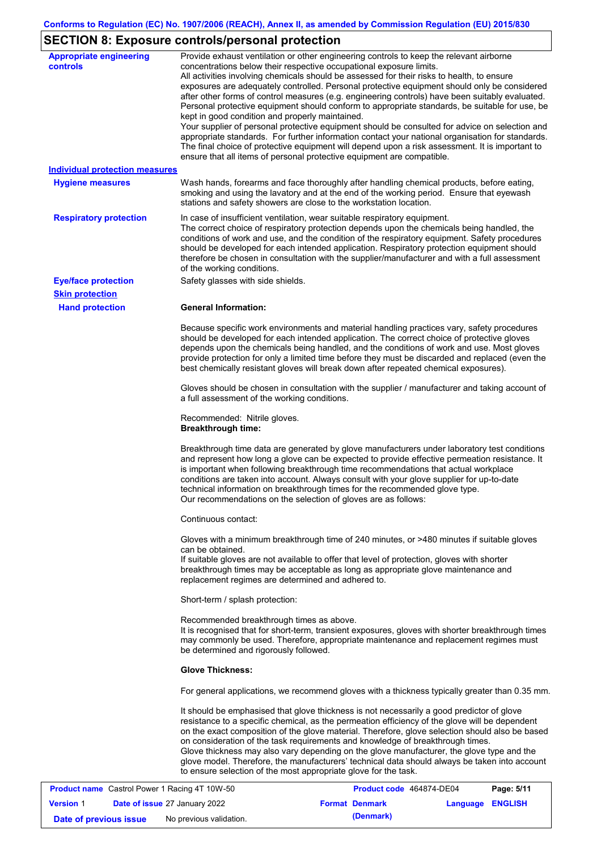# **SECTION 8: Exposure controls/personal protection**

| <b>Appropriate engineering</b><br><b>controls</b>    | Provide exhaust ventilation or other engineering controls to keep the relevant airborne<br>concentrations below their respective occupational exposure limits.                                                                                                                                                                                                                                                                                                                                                                                                                                                                                                                                                                                                                                                                        |
|------------------------------------------------------|---------------------------------------------------------------------------------------------------------------------------------------------------------------------------------------------------------------------------------------------------------------------------------------------------------------------------------------------------------------------------------------------------------------------------------------------------------------------------------------------------------------------------------------------------------------------------------------------------------------------------------------------------------------------------------------------------------------------------------------------------------------------------------------------------------------------------------------|
|                                                      | All activities involving chemicals should be assessed for their risks to health, to ensure<br>exposures are adequately controlled. Personal protective equipment should only be considered<br>after other forms of control measures (e.g. engineering controls) have been suitably evaluated.<br>Personal protective equipment should conform to appropriate standards, be suitable for use, be<br>kept in good condition and properly maintained.<br>Your supplier of personal protective equipment should be consulted for advice on selection and<br>appropriate standards. For further information contact your national organisation for standards.<br>The final choice of protective equipment will depend upon a risk assessment. It is important to<br>ensure that all items of personal protective equipment are compatible. |
| <b>Individual protection measures</b>                |                                                                                                                                                                                                                                                                                                                                                                                                                                                                                                                                                                                                                                                                                                                                                                                                                                       |
| <b>Hygiene measures</b>                              | Wash hands, forearms and face thoroughly after handling chemical products, before eating,<br>smoking and using the lavatory and at the end of the working period. Ensure that eyewash<br>stations and safety showers are close to the workstation location.                                                                                                                                                                                                                                                                                                                                                                                                                                                                                                                                                                           |
| <b>Respiratory protection</b>                        | In case of insufficient ventilation, wear suitable respiratory equipment.<br>The correct choice of respiratory protection depends upon the chemicals being handled, the<br>conditions of work and use, and the condition of the respiratory equipment. Safety procedures<br>should be developed for each intended application. Respiratory protection equipment should<br>therefore be chosen in consultation with the supplier/manufacturer and with a full assessment<br>of the working conditions.                                                                                                                                                                                                                                                                                                                                 |
| <b>Eye/face protection</b>                           | Safety glasses with side shields.                                                                                                                                                                                                                                                                                                                                                                                                                                                                                                                                                                                                                                                                                                                                                                                                     |
| <b>Skin protection</b>                               |                                                                                                                                                                                                                                                                                                                                                                                                                                                                                                                                                                                                                                                                                                                                                                                                                                       |
| <b>Hand protection</b>                               | <b>General Information:</b>                                                                                                                                                                                                                                                                                                                                                                                                                                                                                                                                                                                                                                                                                                                                                                                                           |
|                                                      | Because specific work environments and material handling practices vary, safety procedures<br>should be developed for each intended application. The correct choice of protective gloves<br>depends upon the chemicals being handled, and the conditions of work and use. Most gloves<br>provide protection for only a limited time before they must be discarded and replaced (even the<br>best chemically resistant gloves will break down after repeated chemical exposures).                                                                                                                                                                                                                                                                                                                                                      |
|                                                      | Gloves should be chosen in consultation with the supplier / manufacturer and taking account of<br>a full assessment of the working conditions.                                                                                                                                                                                                                                                                                                                                                                                                                                                                                                                                                                                                                                                                                        |
|                                                      | Recommended: Nitrile gloves.<br><b>Breakthrough time:</b>                                                                                                                                                                                                                                                                                                                                                                                                                                                                                                                                                                                                                                                                                                                                                                             |
|                                                      | Breakthrough time data are generated by glove manufacturers under laboratory test conditions<br>and represent how long a glove can be expected to provide effective permeation resistance. It<br>is important when following breakthrough time recommendations that actual workplace<br>conditions are taken into account. Always consult with your glove supplier for up-to-date<br>technical information on breakthrough times for the recommended glove type.<br>Our recommendations on the selection of gloves are as follows:                                                                                                                                                                                                                                                                                                    |
|                                                      | Continuous contact:                                                                                                                                                                                                                                                                                                                                                                                                                                                                                                                                                                                                                                                                                                                                                                                                                   |
|                                                      | Gloves with a minimum breakthrough time of 240 minutes, or >480 minutes if suitable gloves<br>can be obtained.<br>If suitable gloves are not available to offer that level of protection, gloves with shorter<br>breakthrough times may be acceptable as long as appropriate glove maintenance and<br>replacement regimes are determined and adhered to.                                                                                                                                                                                                                                                                                                                                                                                                                                                                              |
|                                                      | Short-term / splash protection:                                                                                                                                                                                                                                                                                                                                                                                                                                                                                                                                                                                                                                                                                                                                                                                                       |
|                                                      | Recommended breakthrough times as above.<br>It is recognised that for short-term, transient exposures, gloves with shorter breakthrough times<br>may commonly be used. Therefore, appropriate maintenance and replacement regimes must<br>be determined and rigorously followed.                                                                                                                                                                                                                                                                                                                                                                                                                                                                                                                                                      |
|                                                      | <b>Glove Thickness:</b>                                                                                                                                                                                                                                                                                                                                                                                                                                                                                                                                                                                                                                                                                                                                                                                                               |
|                                                      | For general applications, we recommend gloves with a thickness typically greater than 0.35 mm.                                                                                                                                                                                                                                                                                                                                                                                                                                                                                                                                                                                                                                                                                                                                        |
|                                                      | It should be emphasised that glove thickness is not necessarily a good predictor of glove<br>resistance to a specific chemical, as the permeation efficiency of the glove will be dependent<br>on the exact composition of the glove material. Therefore, glove selection should also be based<br>on consideration of the task requirements and knowledge of breakthrough times.<br>Glove thickness may also vary depending on the glove manufacturer, the glove type and the<br>glove model. Therefore, the manufacturers' technical data should always be taken into account<br>to ensure selection of the most appropriate glove for the task.                                                                                                                                                                                     |
| <b>Product name</b> Castrol Power 1 Racing 4T 10W-50 | <b>Product code 464874-DE04</b><br>$P$ ane: 5/11                                                                                                                                                                                                                                                                                                                                                                                                                                                                                                                                                                                                                                                                                                                                                                                      |

|                        | <b>Product name</b> Castrol Power 1 Racing 4T 10W-50 | Product code 464874-DE04 |                  | Page: 5/11 |
|------------------------|------------------------------------------------------|--------------------------|------------------|------------|
| <b>Version 1</b>       | <b>Date of issue 27 January 2022</b>                 | <b>Format Denmark</b>    | Language ENGLISH |            |
| Date of previous issue | No previous validation.                              | (Denmark)                |                  |            |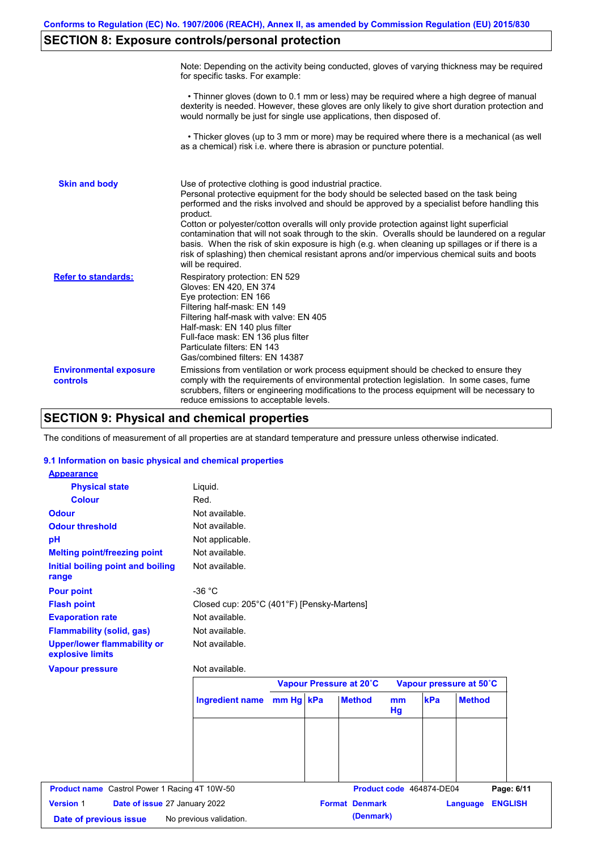# **SECTION 8: Exposure controls/personal protection**

|                                           | Note: Depending on the activity being conducted, gloves of varying thickness may be required<br>for specific tasks. For example:                                                                                                                                                                                                                                                                                                                                                                                                                                                                                                                                                      |
|-------------------------------------------|---------------------------------------------------------------------------------------------------------------------------------------------------------------------------------------------------------------------------------------------------------------------------------------------------------------------------------------------------------------------------------------------------------------------------------------------------------------------------------------------------------------------------------------------------------------------------------------------------------------------------------------------------------------------------------------|
|                                           | • Thinner gloves (down to 0.1 mm or less) may be required where a high degree of manual<br>dexterity is needed. However, these gloves are only likely to give short duration protection and<br>would normally be just for single use applications, then disposed of.                                                                                                                                                                                                                                                                                                                                                                                                                  |
|                                           | • Thicker gloves (up to 3 mm or more) may be required where there is a mechanical (as well<br>as a chemical) risk i.e. where there is abrasion or puncture potential.                                                                                                                                                                                                                                                                                                                                                                                                                                                                                                                 |
| <b>Skin and body</b>                      | Use of protective clothing is good industrial practice.<br>Personal protective equipment for the body should be selected based on the task being<br>performed and the risks involved and should be approved by a specialist before handling this<br>product.<br>Cotton or polyester/cotton overalls will only provide protection against light superficial<br>contamination that will not soak through to the skin. Overalls should be laundered on a regular<br>basis. When the risk of skin exposure is high (e.g. when cleaning up spillages or if there is a<br>risk of splashing) then chemical resistant aprons and/or impervious chemical suits and boots<br>will be required. |
| <b>Refer to standards:</b>                | Respiratory protection: EN 529<br>Gloves: EN 420, EN 374<br>Eye protection: EN 166<br>Filtering half-mask: EN 149<br>Filtering half-mask with valve: EN 405<br>Half-mask: EN 140 plus filter<br>Full-face mask: EN 136 plus filter<br>Particulate filters: EN 143<br>Gas/combined filters: EN 14387                                                                                                                                                                                                                                                                                                                                                                                   |
| <b>Environmental exposure</b><br>controls | Emissions from ventilation or work process equipment should be checked to ensure they<br>comply with the requirements of environmental protection legislation. In some cases, fume<br>scrubbers, filters or engineering modifications to the process equipment will be necessary to<br>reduce emissions to acceptable levels.                                                                                                                                                                                                                                                                                                                                                         |

# **SECTION 9: Physical and chemical properties**

The conditions of measurement of all properties are at standard temperature and pressure unless otherwise indicated.

### **9.1 Information on basic physical and chemical properties**

| <b>Appearance</b>                                      |                                            |           |                         |                      |                          |                         |                |
|--------------------------------------------------------|--------------------------------------------|-----------|-------------------------|----------------------|--------------------------|-------------------------|----------------|
| <b>Physical state</b>                                  | Liquid.                                    |           |                         |                      |                          |                         |                |
| <b>Colour</b>                                          | Red.                                       |           |                         |                      |                          |                         |                |
| <b>Odour</b>                                           | Not available.                             |           |                         |                      |                          |                         |                |
| <b>Odour threshold</b>                                 | Not available.                             |           |                         |                      |                          |                         |                |
| pH                                                     | Not applicable.                            |           |                         |                      |                          |                         |                |
| <b>Melting point/freezing point</b>                    | Not available.                             |           |                         |                      |                          |                         |                |
| Initial boiling point and boiling<br>range             | Not available.                             |           |                         |                      |                          |                         |                |
| <b>Pour point</b>                                      | $-36 °C$                                   |           |                         |                      |                          |                         |                |
| <b>Flash point</b>                                     | Closed cup: 205°C (401°F) [Pensky-Martens] |           |                         |                      |                          |                         |                |
| <b>Evaporation rate</b>                                | Not available.                             |           |                         |                      |                          |                         |                |
| <b>Flammability (solid, gas)</b>                       | Not available.                             |           |                         |                      |                          |                         |                |
| <b>Upper/lower flammability or</b><br>explosive limits | Not available.                             |           |                         |                      |                          |                         |                |
| <b>Vapour pressure</b>                                 | Not available.                             |           |                         |                      |                          |                         |                |
|                                                        |                                            |           | Vapour Pressure at 20°C |                      |                          | Vapour pressure at 50°C |                |
|                                                        | <b>Ingredient name</b>                     | mm Hg kPa | <b>Method</b>           | m <sub>m</sub><br>Hg | kPa                      | <b>Method</b>           |                |
|                                                        |                                            |           |                         |                      |                          |                         |                |
|                                                        |                                            |           |                         |                      |                          |                         |                |
|                                                        |                                            |           |                         |                      |                          |                         |                |
| <b>Product name</b> Castrol Power 1 Racing 4T 10W-50   |                                            |           |                         |                      | Product code 464874-DE04 |                         | Page: 6/11     |
| Version 1<br>Date of issue 27 January 2022             |                                            |           | <b>Format Denmark</b>   |                      |                          | Language                | <b>ENGLISH</b> |
|                                                        |                                            |           |                         |                      |                          |                         |                |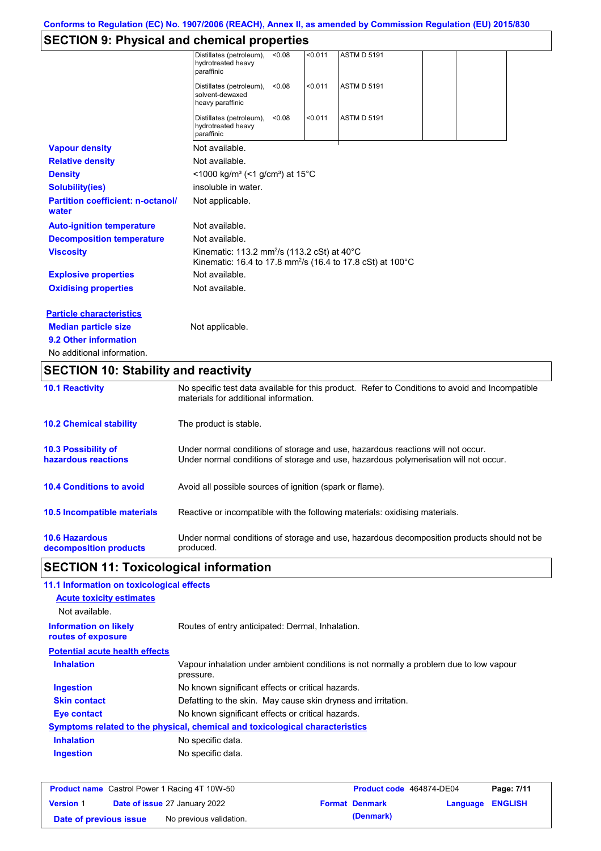# **SECTION 9: Physical and chemical properties**

| <b>10.2 Chemical stability</b>                    | The product is stable.                                                                                                                   |        |         |                    |  |  |
|---------------------------------------------------|------------------------------------------------------------------------------------------------------------------------------------------|--------|---------|--------------------|--|--|
| <b>10.1 Reactivity</b>                            | No specific test data available for this product. Refer to Conditions to avoid and Incompatible<br>materials for additional information. |        |         |                    |  |  |
| <b>SECTION 10: Stability and reactivity</b>       |                                                                                                                                          |        |         |                    |  |  |
| No additional information.                        |                                                                                                                                          |        |         |                    |  |  |
| 9.2 Other information                             |                                                                                                                                          |        |         |                    |  |  |
| <b>Median particle size</b>                       | Not applicable.                                                                                                                          |        |         |                    |  |  |
| <b>Particle characteristics</b>                   |                                                                                                                                          |        |         |                    |  |  |
| <b>Oxidising properties</b>                       | Not available.                                                                                                                           |        |         |                    |  |  |
| <b>Explosive properties</b>                       | Not available.                                                                                                                           |        |         |                    |  |  |
| <b>Viscosity</b>                                  | Kinematic: 113.2 mm <sup>2</sup> /s (113.2 cSt) at 40°C<br>Kinematic: 16.4 to 17.8 mm <sup>2</sup> /s (16.4 to 17.8 cSt) at 100°C        |        |         |                    |  |  |
| <b>Decomposition temperature</b>                  | Not available.                                                                                                                           |        |         |                    |  |  |
| <b>Auto-ignition temperature</b>                  | Not available.                                                                                                                           |        |         |                    |  |  |
| <b>Partition coefficient: n-octanol/</b><br>water | Not applicable.                                                                                                                          |        |         |                    |  |  |
| <b>Solubility(ies)</b>                            | insoluble in water.                                                                                                                      |        |         |                    |  |  |
| <b>Density</b>                                    | <1000 kg/m <sup>3</sup> (<1 g/cm <sup>3</sup> ) at 15 <sup>°</sup> C                                                                     |        |         |                    |  |  |
| <b>Relative density</b>                           | Not available.                                                                                                                           |        |         |                    |  |  |
| <b>Vapour density</b>                             | Not available.                                                                                                                           |        |         |                    |  |  |
|                                                   | Distillates (petroleum),<br>hydrotreated heavy<br>paraffinic                                                                             | < 0.08 | < 0.011 | <b>ASTM D 5191</b> |  |  |
|                                                   | Distillates (petroleum),<br>solvent-dewaxed<br>heavy paraffinic                                                                          | < 0.08 | < 0.011 | <b>ASTM D 5191</b> |  |  |
|                                                   | Distillates (petroleum),<br>hydrotreated heavy<br>paraffinic                                                                             | < 0.08 | < 0.011 | <b>ASTM D 5191</b> |  |  |

| <b>10.3 Possibility of</b>      | Under normal conditions of storage and use, hazardous reactions will not occur.            |
|---------------------------------|--------------------------------------------------------------------------------------------|
| hazardous reactions             | Under normal conditions of storage and use, hazardous polymerisation will not occur.       |
| <b>10.4 Conditions to avoid</b> | Avoid all possible sources of ignition (spark or flame).                                   |
| 10.5 Incompatible materials     | Reactive or incompatible with the following materials: oxidising materials.                |
| <b>10.6 Hazardous</b>           | Under normal conditions of storage and use, hazardous decomposition products should not be |
| decomposition products          | produced.                                                                                  |

# **SECTION 11: Toxicological information**

| 11.1 Information on toxicological effects          |                                                                                                     |
|----------------------------------------------------|-----------------------------------------------------------------------------------------------------|
| <b>Acute toxicity estimates</b>                    |                                                                                                     |
| Not available.                                     |                                                                                                     |
| <b>Information on likely</b><br>routes of exposure | Routes of entry anticipated: Dermal, Inhalation.                                                    |
| <b>Potential acute health effects</b>              |                                                                                                     |
| <b>Inhalation</b>                                  | Vapour inhalation under ambient conditions is not normally a problem due to low vapour<br>pressure. |
| <b>Ingestion</b>                                   | No known significant effects or critical hazards.                                                   |
| <b>Skin contact</b>                                | Defatting to the skin. May cause skin dryness and irritation.                                       |
| Eye contact                                        | No known significant effects or critical hazards.                                                   |
|                                                    | Symptoms related to the physical, chemical and toxicological characteristics                        |
| <b>Inhalation</b>                                  | No specific data.                                                                                   |
| <b>Ingestion</b>                                   | No specific data.                                                                                   |
|                                                    |                                                                                                     |

|                        | <b>Product name</b> Castrol Power 1 Racing 4T 10W-50 | <b>Product code</b> 464874-DE04 |                  | Page: 7/11 |
|------------------------|------------------------------------------------------|---------------------------------|------------------|------------|
| <b>Version 1</b>       | <b>Date of issue 27 January 2022</b>                 | <b>Format Denmark</b>           | Language ENGLISH |            |
| Date of previous issue | No previous validation.                              | (Denmark)                       |                  |            |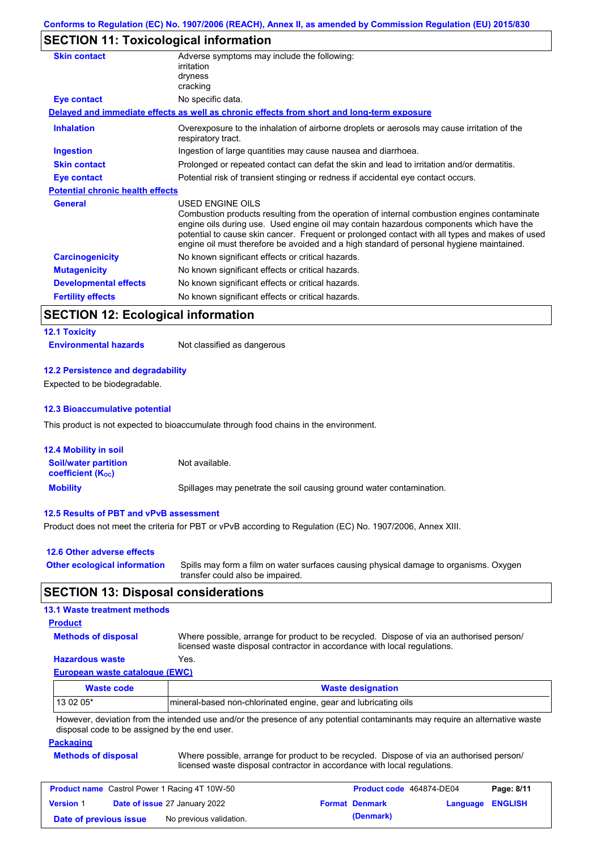# **SECTION 11: Toxicological information**

| <b>Skin contact</b>                     | Adverse symptoms may include the following:<br>irritation<br>dryness<br>cracking                                                                                                                                                                                                                                                                                                                         |
|-----------------------------------------|----------------------------------------------------------------------------------------------------------------------------------------------------------------------------------------------------------------------------------------------------------------------------------------------------------------------------------------------------------------------------------------------------------|
| Eye contact                             | No specific data.                                                                                                                                                                                                                                                                                                                                                                                        |
|                                         | Delayed and immediate effects as well as chronic effects from short and long-term exposure                                                                                                                                                                                                                                                                                                               |
| <b>Inhalation</b>                       | Overexposure to the inhalation of airborne droplets or aerosols may cause irritation of the<br>respiratory tract.                                                                                                                                                                                                                                                                                        |
| <b>Ingestion</b>                        | Ingestion of large quantities may cause nausea and diarrhoea.                                                                                                                                                                                                                                                                                                                                            |
| <b>Skin contact</b>                     | Prolonged or repeated contact can defat the skin and lead to irritation and/or dermatitis.                                                                                                                                                                                                                                                                                                               |
| Eye contact                             | Potential risk of transient stinging or redness if accidental eye contact occurs.                                                                                                                                                                                                                                                                                                                        |
| <b>Potential chronic health effects</b> |                                                                                                                                                                                                                                                                                                                                                                                                          |
| <b>General</b>                          | USED ENGINE OILS<br>Combustion products resulting from the operation of internal combustion engines contaminate<br>engine oils during use. Used engine oil may contain hazardous components which have the<br>potential to cause skin cancer. Frequent or prolonged contact with all types and makes of used<br>engine oil must therefore be avoided and a high standard of personal hygiene maintained. |
| <b>Carcinogenicity</b>                  | No known significant effects or critical hazards.                                                                                                                                                                                                                                                                                                                                                        |
| <b>Mutagenicity</b>                     | No known significant effects or critical hazards.                                                                                                                                                                                                                                                                                                                                                        |
| <b>Developmental effects</b>            | No known significant effects or critical hazards.                                                                                                                                                                                                                                                                                                                                                        |
| <b>Fertility effects</b>                | No known significant effects or critical hazards.                                                                                                                                                                                                                                                                                                                                                        |
|                                         |                                                                                                                                                                                                                                                                                                                                                                                                          |

# **SECTION 12: Ecological information**

# **12.1 Toxicity**

**Environmental hazards** Not classified as dangerous

### **12.2 Persistence and degradability**

Expected to be biodegradable.

### **12.3 Bioaccumulative potential**

This product is not expected to bioaccumulate through food chains in the environment.

| <b>12.4 Mobility in soil</b>                            |                                                                      |
|---------------------------------------------------------|----------------------------------------------------------------------|
| <b>Soil/water partition</b><br><b>coefficient (Koc)</b> | Not available.                                                       |
| <b>Mobility</b>                                         | Spillages may penetrate the soil causing ground water contamination. |

### **12.5 Results of PBT and vPvB assessment**

Product does not meet the criteria for PBT or vPvB according to Regulation (EC) No. 1907/2006, Annex XIII.

| 12.6 Other adverse effects          |                                                                                                                           |
|-------------------------------------|---------------------------------------------------------------------------------------------------------------------------|
| <b>Other ecological information</b> | Spills may form a film on water surfaces causing physical damage to organisms. Oxygen<br>transfer could also be impaired. |

# **SECTION 13: Disposal considerations**

### **13.1 Waste treatment methods**

### **Product**

**Methods of disposal**

Where possible, arrange for product to be recycled. Dispose of via an authorised person/ licensed waste disposal contractor in accordance with local regulations.

**Hazardous waste** Yes.

**European waste catalogue (EWC)**

| Waste code | <b>Waste designation</b>                                                                                                    |
|------------|-----------------------------------------------------------------------------------------------------------------------------|
| $130205*$  | Imineral-based non-chlorinated engine, gear and lubricating oils                                                            |
|            | However, deviation from the intended use and/or the presence of any potential contaminants may require an alternative waste |

disposal code to be assigned by the end user.

### **Packaging**

**Methods of disposal** Where possible, arrange for product to be recycled. Dispose of via an authorised person/ licensed waste disposal contractor in accordance with local regulations.

| <b>Product name</b> Castrol Power 1 Racing 4T 10W-50 |  |                                      | <b>Product code</b> 464874-DE04 |                       | Page: 8/11              |  |
|------------------------------------------------------|--|--------------------------------------|---------------------------------|-----------------------|-------------------------|--|
| <b>Version 1</b>                                     |  | <b>Date of issue 27 January 2022</b> |                                 | <b>Format Denmark</b> | <b>Language ENGLISH</b> |  |
| Date of previous issue                               |  | No previous validation.              |                                 | (Denmark)             |                         |  |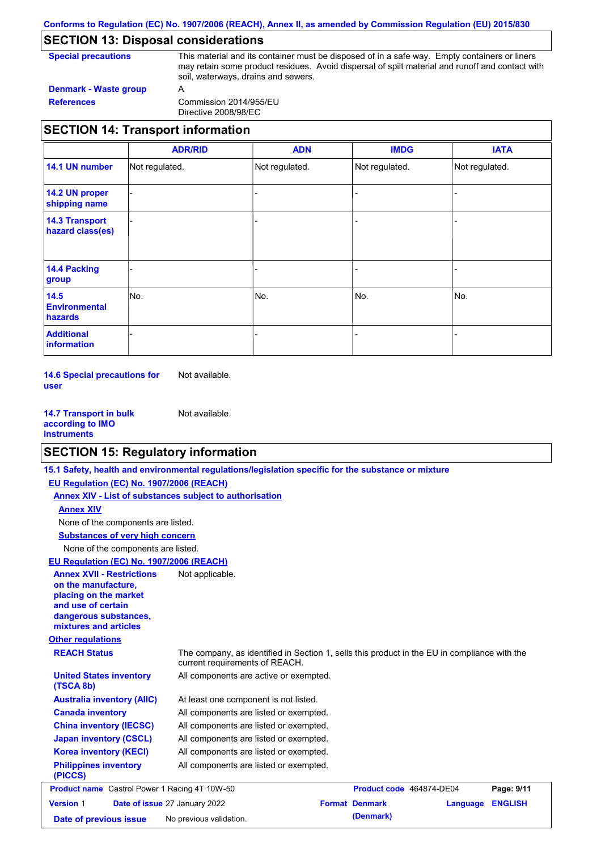# **SECTION 13: Disposal considerations**

| <b>Special precautions</b> | This material and its container must be disposed of in a safe way. Empty containers or liners<br>may retain some product residues. Avoid dispersal of spilt material and runoff and contact with<br>soil, waterways, drains and sewers. |  |  |
|----------------------------|-----------------------------------------------------------------------------------------------------------------------------------------------------------------------------------------------------------------------------------------|--|--|
| Denmark - Waste group      | $\overline{A}$                                                                                                                                                                                                                          |  |  |

**References** Commission 2014/955/EU Directive 2008/98/EC

# **SECTION 14: Transport information**

|                                           | <b>ADR/RID</b> | <b>ADN</b>     | <b>IMDG</b>    | <b>IATA</b>    |
|-------------------------------------------|----------------|----------------|----------------|----------------|
| 14.1 UN number                            | Not regulated. | Not regulated. | Not regulated. | Not regulated. |
| 14.2 UN proper<br>shipping name           |                |                |                |                |
| <b>14.3 Transport</b><br>hazard class(es) |                |                |                |                |
| <b>14.4 Packing</b><br>group              |                |                |                |                |
| 14.5<br><b>Environmental</b><br>hazards   | No.            | No.            | No.            | No.            |
| <b>Additional</b><br>information          |                |                |                |                |

**14.6 Special precautions for user** Not available.

**14.7 Transport in bulk according to IMO instruments** Not available.

# **SECTION 15: Regulatory information**

**15.1 Safety, health and environmental regulations/legislation specific for the substance or mixture**

| EU Regulation (EC) No. 1907/2006 (REACH)                                                                                                                 |                                                                                                                                |                       |                          |                |
|----------------------------------------------------------------------------------------------------------------------------------------------------------|--------------------------------------------------------------------------------------------------------------------------------|-----------------------|--------------------------|----------------|
|                                                                                                                                                          | Annex XIV - List of substances subject to authorisation                                                                        |                       |                          |                |
| <b>Annex XIV</b>                                                                                                                                         |                                                                                                                                |                       |                          |                |
| None of the components are listed.                                                                                                                       |                                                                                                                                |                       |                          |                |
| <b>Substances of very high concern</b>                                                                                                                   |                                                                                                                                |                       |                          |                |
| None of the components are listed.                                                                                                                       |                                                                                                                                |                       |                          |                |
| EU Regulation (EC) No. 1907/2006 (REACH)                                                                                                                 |                                                                                                                                |                       |                          |                |
| <b>Annex XVII - Restrictions</b><br>on the manufacture.<br>placing on the market<br>and use of certain<br>dangerous substances,<br>mixtures and articles | Not applicable.                                                                                                                |                       |                          |                |
| <b>Other regulations</b>                                                                                                                                 |                                                                                                                                |                       |                          |                |
| <b>REACH Status</b>                                                                                                                                      | The company, as identified in Section 1, sells this product in the EU in compliance with the<br>current requirements of REACH. |                       |                          |                |
| <b>United States inventory</b><br>(TSCA 8b)                                                                                                              | All components are active or exempted.                                                                                         |                       |                          |                |
| <b>Australia inventory (AIIC)</b>                                                                                                                        | At least one component is not listed.                                                                                          |                       |                          |                |
| <b>Canada inventory</b>                                                                                                                                  | All components are listed or exempted.                                                                                         |                       |                          |                |
| <b>China inventory (IECSC)</b>                                                                                                                           | All components are listed or exempted.                                                                                         |                       |                          |                |
| <b>Japan inventory (CSCL)</b>                                                                                                                            | All components are listed or exempted.                                                                                         |                       |                          |                |
| <b>Korea inventory (KECI)</b>                                                                                                                            | All components are listed or exempted.                                                                                         |                       |                          |                |
| <b>Philippines inventory</b><br>(PICCS)                                                                                                                  | All components are listed or exempted.                                                                                         |                       |                          |                |
| <b>Product name</b> Castrol Power 1 Racing 4T 10W-50                                                                                                     |                                                                                                                                |                       | Product code 464874-DE04 | Page: 9/11     |
| <b>Version 1</b>                                                                                                                                         | Date of issue 27 January 2022                                                                                                  | <b>Format Denmark</b> | Language                 | <b>ENGLISH</b> |
| Date of previous issue                                                                                                                                   | No previous validation.                                                                                                        | (Denmark)             |                          |                |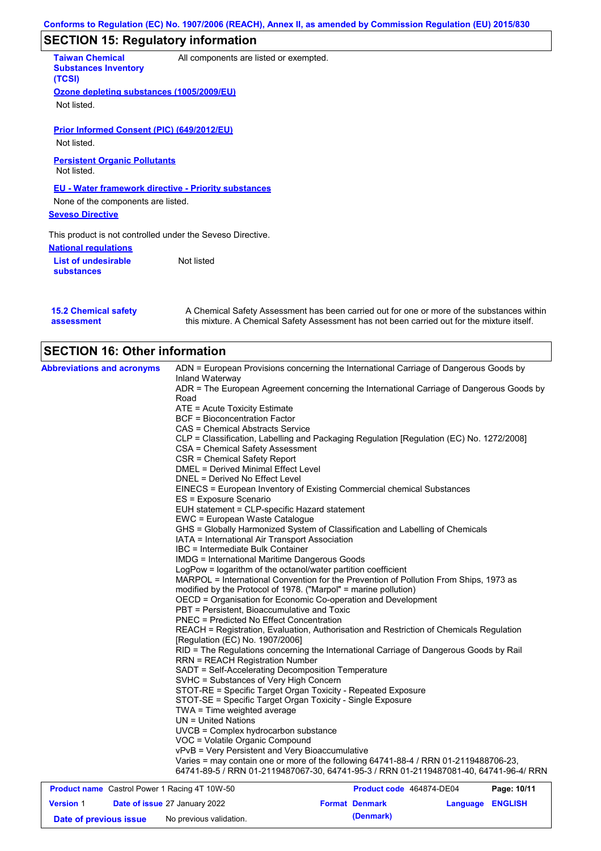# **SECTION 15: Regulatory information**

**National regulations List of undesirable substances** Not listed **Taiwan Chemical Substances Inventory (TCSI)** All components are listed or exempted. **Ozone depleting substances (1005/2009/EU)** Not listed. **Prior Informed Consent (PIC) (649/2012/EU)** Not listed. **Seveso Directive** This product is not controlled under the Seveso Directive. **EU - Water framework directive - Priority substances** None of the components are listed. **Persistent Organic Pollutants** Not listed.

|            | <b>15.2 Chemical safety</b> |  |
|------------|-----------------------------|--|
| assessment |                             |  |

A Chemical Safety Assessment has been carried out for one or more of the substances within this mixture. A Chemical Safety Assessment has not been carried out for the mixture itself.

# **SECTION 16: Other information**

| <b>Abbreviations and acronyms</b>                    | ADN = European Provisions concerning the International Carriage of Dangerous Goods by                                            |
|------------------------------------------------------|----------------------------------------------------------------------------------------------------------------------------------|
|                                                      | Inland Waterway<br>ADR = The European Agreement concerning the International Carriage of Dangerous Goods by                      |
|                                                      | Road                                                                                                                             |
|                                                      | ATE = Acute Toxicity Estimate                                                                                                    |
|                                                      | <b>BCF</b> = Bioconcentration Factor                                                                                             |
|                                                      | CAS = Chemical Abstracts Service                                                                                                 |
|                                                      | CLP = Classification, Labelling and Packaging Regulation [Regulation (EC) No. 1272/2008]                                         |
|                                                      | <b>CSA = Chemical Safety Assessment</b>                                                                                          |
|                                                      | CSR = Chemical Safety Report                                                                                                     |
|                                                      | <b>DMEL = Derived Minimal Effect Level</b>                                                                                       |
|                                                      | DNEL = Derived No Effect Level                                                                                                   |
|                                                      | EINECS = European Inventory of Existing Commercial chemical Substances                                                           |
|                                                      | ES = Exposure Scenario                                                                                                           |
|                                                      | EUH statement = CLP-specific Hazard statement                                                                                    |
|                                                      | EWC = European Waste Catalogue                                                                                                   |
|                                                      | GHS = Globally Harmonized System of Classification and Labelling of Chemicals                                                    |
|                                                      | IATA = International Air Transport Association                                                                                   |
|                                                      | IBC = Intermediate Bulk Container                                                                                                |
|                                                      | <b>IMDG</b> = International Maritime Dangerous Goods                                                                             |
|                                                      | LogPow = logarithm of the octanol/water partition coefficient                                                                    |
|                                                      | MARPOL = International Convention for the Prevention of Pollution From Ships, 1973 as                                            |
|                                                      | modified by the Protocol of 1978. ("Marpol" = marine pollution)                                                                  |
|                                                      | OECD = Organisation for Economic Co-operation and Development                                                                    |
|                                                      | PBT = Persistent, Bioaccumulative and Toxic                                                                                      |
|                                                      | <b>PNEC = Predicted No Effect Concentration</b>                                                                                  |
|                                                      | REACH = Registration, Evaluation, Authorisation and Restriction of Chemicals Regulation<br>[Regulation (EC) No. 1907/2006]       |
|                                                      | RID = The Regulations concerning the International Carriage of Dangerous Goods by Rail<br><b>RRN = REACH Registration Number</b> |
|                                                      | SADT = Self-Accelerating Decomposition Temperature                                                                               |
|                                                      | SVHC = Substances of Very High Concern                                                                                           |
|                                                      | STOT-RE = Specific Target Organ Toxicity - Repeated Exposure                                                                     |
|                                                      | STOT-SE = Specific Target Organ Toxicity - Single Exposure                                                                       |
|                                                      | $TWA = Time weighted average$                                                                                                    |
|                                                      | $UN = United Nations$                                                                                                            |
|                                                      | UVCB = Complex hydrocarbon substance                                                                                             |
|                                                      | VOC = Volatile Organic Compound                                                                                                  |
|                                                      | vPvB = Very Persistent and Very Bioaccumulative                                                                                  |
|                                                      | Varies = may contain one or more of the following 64741-88-4 / RRN 01-2119488706-23,                                             |
|                                                      | 64741-89-5 / RRN 01-2119487067-30, 64741-95-3 / RRN 01-2119487081-40, 64741-96-4/ RRN                                            |
| <b>Product name</b> Castrol Power 1 Racing 4T 10W-50 | <b>Product code</b> 464874-DE04<br>P <sub>2</sub> na: 10/11                                                                      |

| <b>Product name</b> Castrol Power 1 Racing 4T 10W-50 |  | Product code 464874-DE04             |                       | Page: 10/11      |  |
|------------------------------------------------------|--|--------------------------------------|-----------------------|------------------|--|
| <b>Version 1</b>                                     |  | <b>Date of issue 27 January 2022</b> | <b>Format Denmark</b> | Language ENGLISH |  |
| Date of previous issue                               |  | No previous validation.              | (Denmark)             |                  |  |